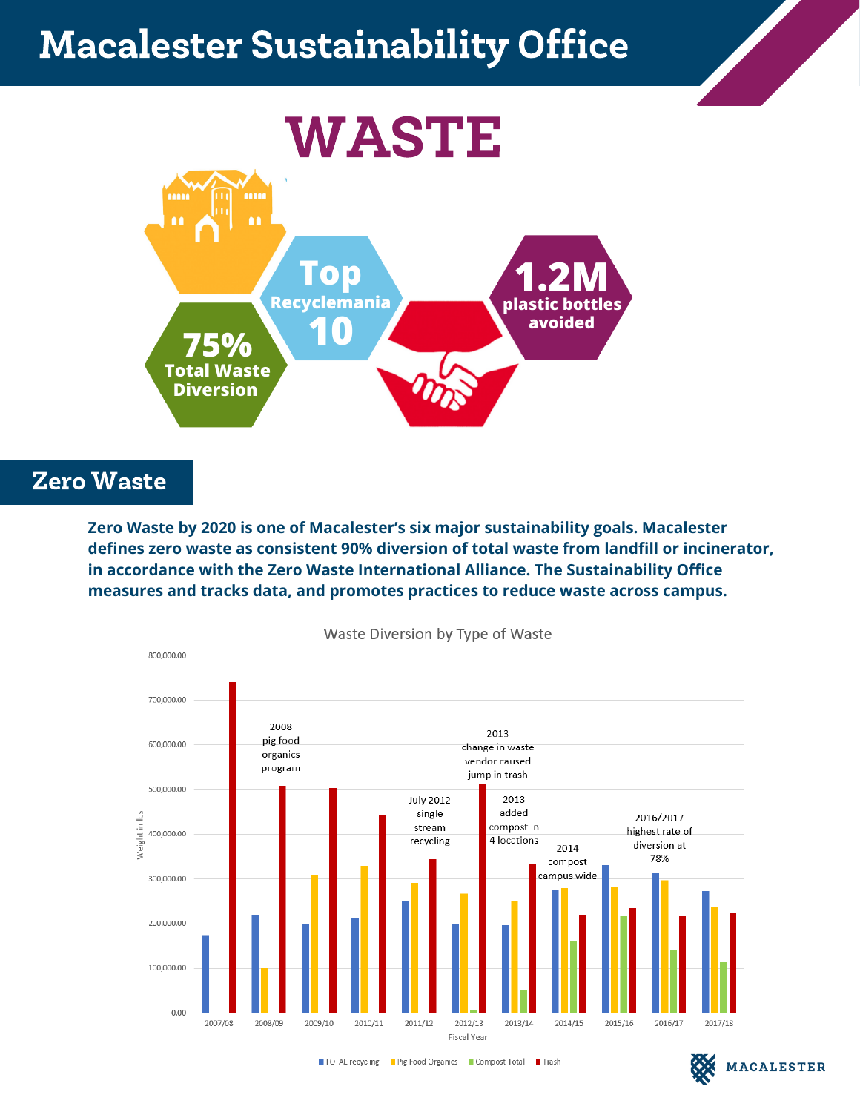# Macalester Sustainability Office



## Zero Waste

**Zero Waste by 2020 is one of Macalester's six major sustainability goals. Macalester defines zero waste as consistent 90% diversion of total waste from landfill or incinerator, in accordance with the Zero Waste International Alliance. The Sustainability Office measures and tracks data, and promotes practices to reduce waste across campus.**